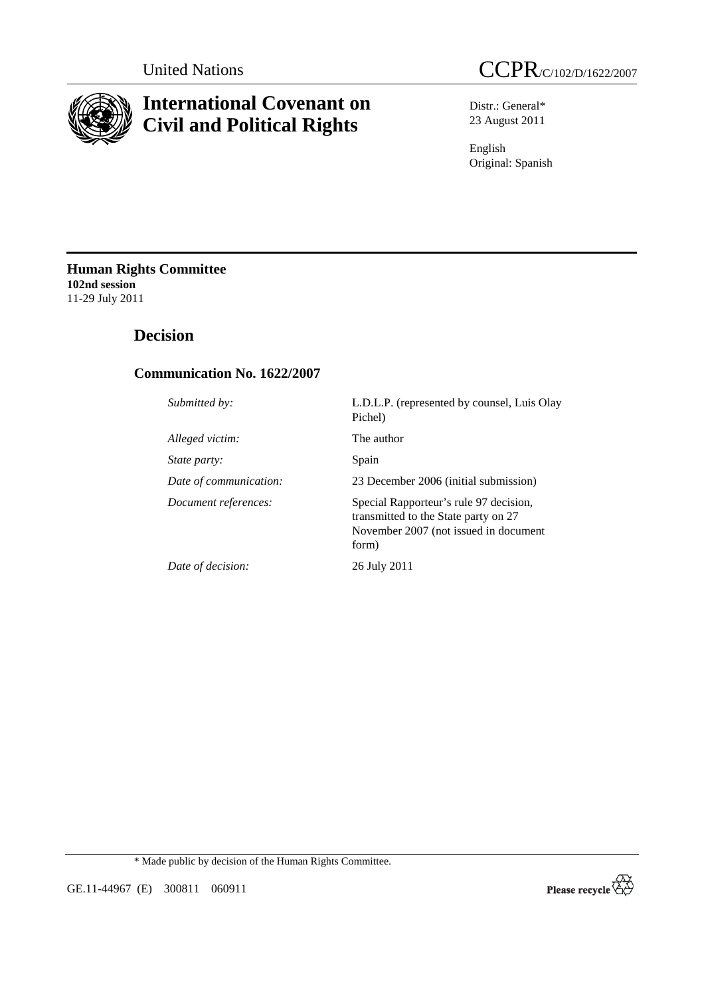

# **International Covenant on Civil and Political Rights**



Distr.: General\* 23 August 2011

English Original: Spanish

**Human Rights Committee 102nd session**  11-29 July 2011

# **Decision**

# **Communication No. 1622/2007**

*Alleged victim:* The author *State party:* Spain

*Submitted by:* L.D.L.P. (represented by counsel, Luis Olay Pichel) *Date of communication:* 23 December 2006 (initial submission) *Document references:* Special Rapporteur's rule 97 decision, transmitted to the State party on 27 November 2007 (not issued in document form) *Date of decision:* 26 July 2011

\* Made public by decision of the Human Rights Committee.



GE.11-44967 (E) 300811 060911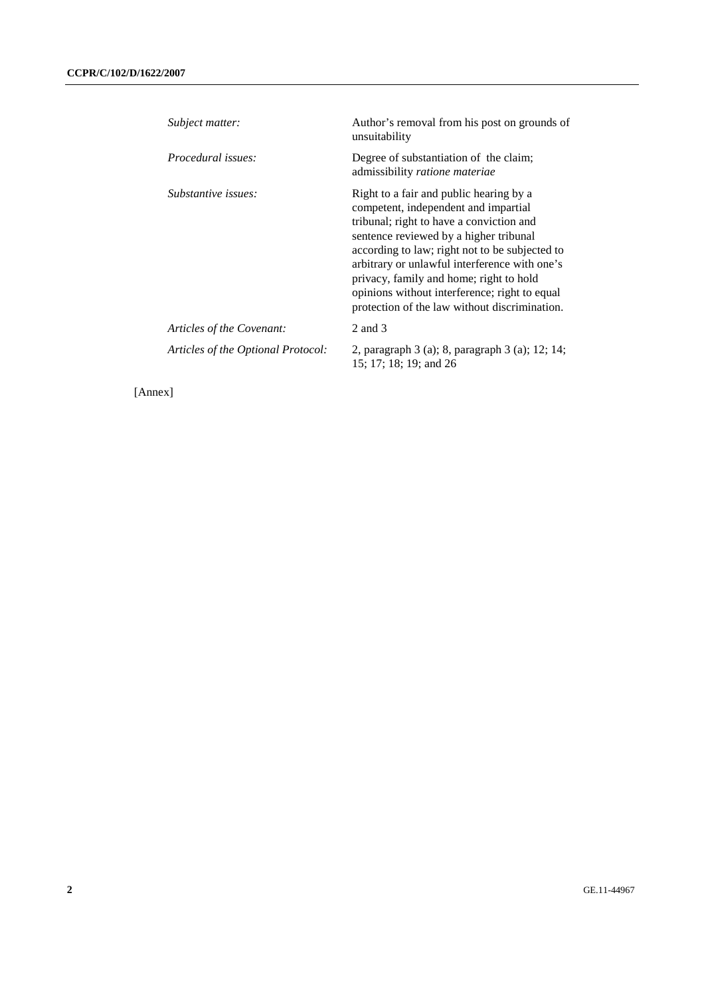| Subject matter:                    | Author's removal from his post on grounds of<br>unsuitability                                                                                                                                                                                                                                                                                                                                                         |
|------------------------------------|-----------------------------------------------------------------------------------------------------------------------------------------------------------------------------------------------------------------------------------------------------------------------------------------------------------------------------------------------------------------------------------------------------------------------|
| <i>Procedural issues:</i>          | Degree of substantiation of the claim;<br>admissibility ratione materiae                                                                                                                                                                                                                                                                                                                                              |
| Substantive issues:                | Right to a fair and public hearing by a<br>competent, independent and impartial<br>tribunal; right to have a conviction and<br>sentence reviewed by a higher tribunal<br>according to law; right not to be subjected to<br>arbitrary or unlawful interference with one's<br>privacy, family and home; right to hold<br>opinions without interference; right to equal<br>protection of the law without discrimination. |
| Articles of the Covenant:          | 2 and 3                                                                                                                                                                                                                                                                                                                                                                                                               |
| Articles of the Optional Protocol: | 2, paragraph 3 (a); 8, paragraph 3 (a); 12; 14;<br>15; 17; 18; 19; and 26                                                                                                                                                                                                                                                                                                                                             |

[Annex]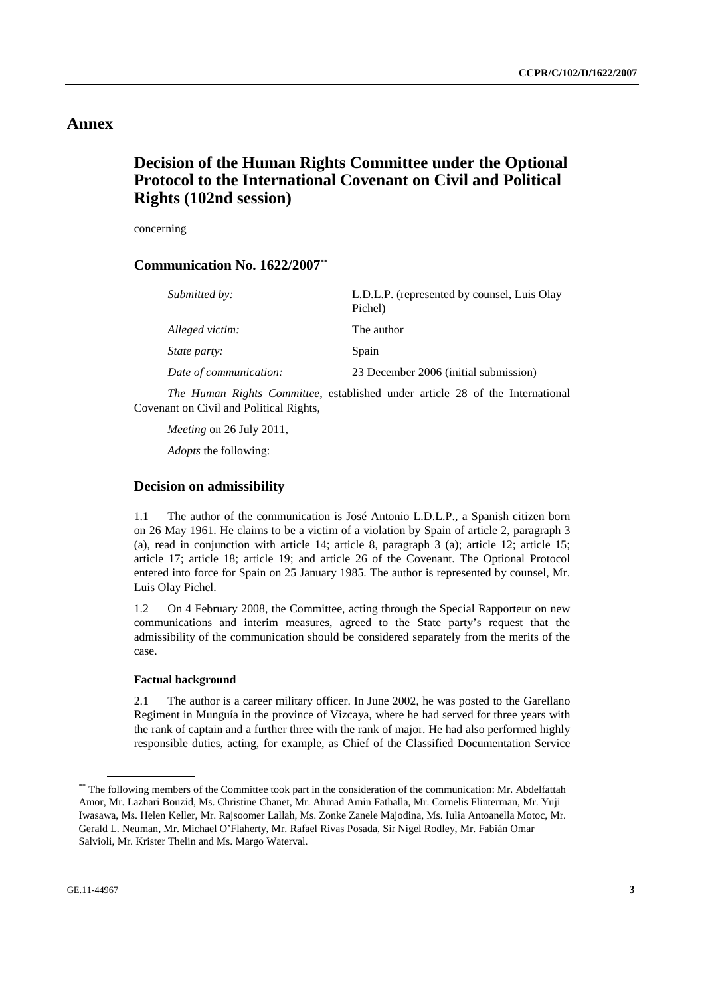# **Annex**

# **Decision of the Human Rights Committee under the Optional Protocol to the International Covenant on Civil and Political Rights (102nd session)**

concerning

## **Communication No. 1622/2007\*\***

| Submitted by:          | L.D.L.P. (represented by counsel, Luis Olay<br>Pichel) |
|------------------------|--------------------------------------------------------|
| Alleged victim:        | The author                                             |
| State party:           | Spain                                                  |
| Date of communication: | 23 December 2006 (initial submission)                  |

*The Human Rights Committee*, established under article 28 of the International Covenant on Civil and Political Rights,

*Meeting* on 26 July 2011,

*Adopts* the following:

## **Decision on admissibility**

1.1 The author of the communication is José Antonio L.D.L.P., a Spanish citizen born on 26 May 1961. He claims to be a victim of a violation by Spain of article 2, paragraph 3 (a), read in conjunction with article 14; article 8, paragraph 3 (a); article 12; article 15; article 17; article 18; article 19; and article 26 of the Covenant. The Optional Protocol entered into force for Spain on 25 January 1985. The author is represented by counsel, Mr. Luis Olay Pichel.

1.2 On 4 February 2008, the Committee, acting through the Special Rapporteur on new communications and interim measures, agreed to the State party's request that the admissibility of the communication should be considered separately from the merits of the case.

## **Factual background**

2.1 The author is a career military officer. In June 2002, he was posted to the Garellano Regiment in Munguía in the province of Vizcaya, where he had served for three years with the rank of captain and a further three with the rank of major. He had also performed highly responsible duties, acting, for example, as Chief of the Classified Documentation Service

<sup>\*\*</sup> The following members of the Committee took part in the consideration of the communication: Mr. Abdelfattah Amor, Mr. Lazhari Bouzid, Ms. Christine Chanet, Mr. Ahmad Amin Fathalla, Mr. Cornelis Flinterman, Mr. Yuji Iwasawa, Ms. Helen Keller, Mr. Rajsoomer Lallah, Ms. Zonke Zanele Majodina, Ms. Iulia Antoanella Motoc, Mr. Gerald L. Neuman, Mr. Michael O'Flaherty, Mr. Rafael Rivas Posada, Sir Nigel Rodley, Mr. Fabián Omar Salvioli, Mr. Krister Thelin and Ms. Margo Waterval.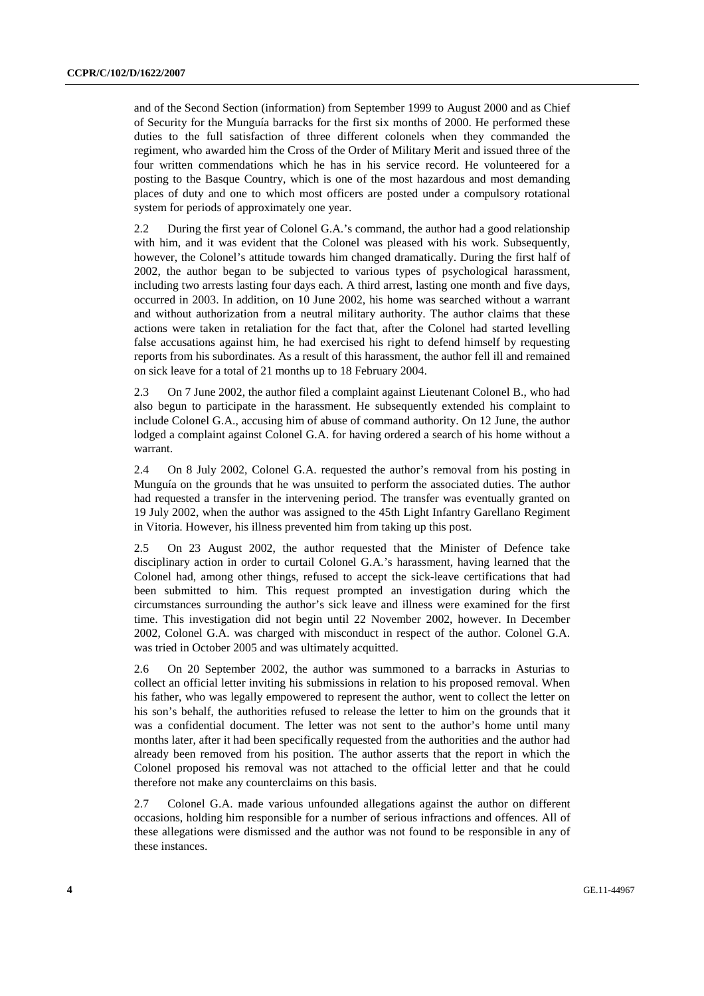and of the Second Section (information) from September 1999 to August 2000 and as Chief of Security for the Munguía barracks for the first six months of 2000. He performed these duties to the full satisfaction of three different colonels when they commanded the regiment, who awarded him the Cross of the Order of Military Merit and issued three of the four written commendations which he has in his service record. He volunteered for a posting to the Basque Country, which is one of the most hazardous and most demanding places of duty and one to which most officers are posted under a compulsory rotational system for periods of approximately one year.

2.2 During the first year of Colonel G.A.'s command, the author had a good relationship with him, and it was evident that the Colonel was pleased with his work. Subsequently, however, the Colonel's attitude towards him changed dramatically. During the first half of 2002, the author began to be subjected to various types of psychological harassment, including two arrests lasting four days each. A third arrest, lasting one month and five days, occurred in 2003. In addition, on 10 June 2002, his home was searched without a warrant and without authorization from a neutral military authority. The author claims that these actions were taken in retaliation for the fact that, after the Colonel had started levelling false accusations against him, he had exercised his right to defend himself by requesting reports from his subordinates. As a result of this harassment, the author fell ill and remained on sick leave for a total of 21 months up to 18 February 2004.

2.3 On 7 June 2002, the author filed a complaint against Lieutenant Colonel B., who had also begun to participate in the harassment. He subsequently extended his complaint to include Colonel G.A., accusing him of abuse of command authority. On 12 June, the author lodged a complaint against Colonel G.A. for having ordered a search of his home without a warrant.

2.4 On 8 July 2002, Colonel G.A. requested the author's removal from his posting in Munguía on the grounds that he was unsuited to perform the associated duties. The author had requested a transfer in the intervening period. The transfer was eventually granted on 19 July 2002, when the author was assigned to the 45th Light Infantry Garellano Regiment in Vitoria. However, his illness prevented him from taking up this post.

2.5 On 23 August 2002, the author requested that the Minister of Defence take disciplinary action in order to curtail Colonel G.A.'s harassment, having learned that the Colonel had, among other things, refused to accept the sick-leave certifications that had been submitted to him. This request prompted an investigation during which the circumstances surrounding the author's sick leave and illness were examined for the first time. This investigation did not begin until 22 November 2002, however. In December 2002, Colonel G.A. was charged with misconduct in respect of the author. Colonel G.A. was tried in October 2005 and was ultimately acquitted.

2.6 On 20 September 2002, the author was summoned to a barracks in Asturias to collect an official letter inviting his submissions in relation to his proposed removal. When his father, who was legally empowered to represent the author, went to collect the letter on his son's behalf, the authorities refused to release the letter to him on the grounds that it was a confidential document. The letter was not sent to the author's home until many months later, after it had been specifically requested from the authorities and the author had already been removed from his position. The author asserts that the report in which the Colonel proposed his removal was not attached to the official letter and that he could therefore not make any counterclaims on this basis.

2.7 Colonel G.A. made various unfounded allegations against the author on different occasions, holding him responsible for a number of serious infractions and offences. All of these allegations were dismissed and the author was not found to be responsible in any of these instances.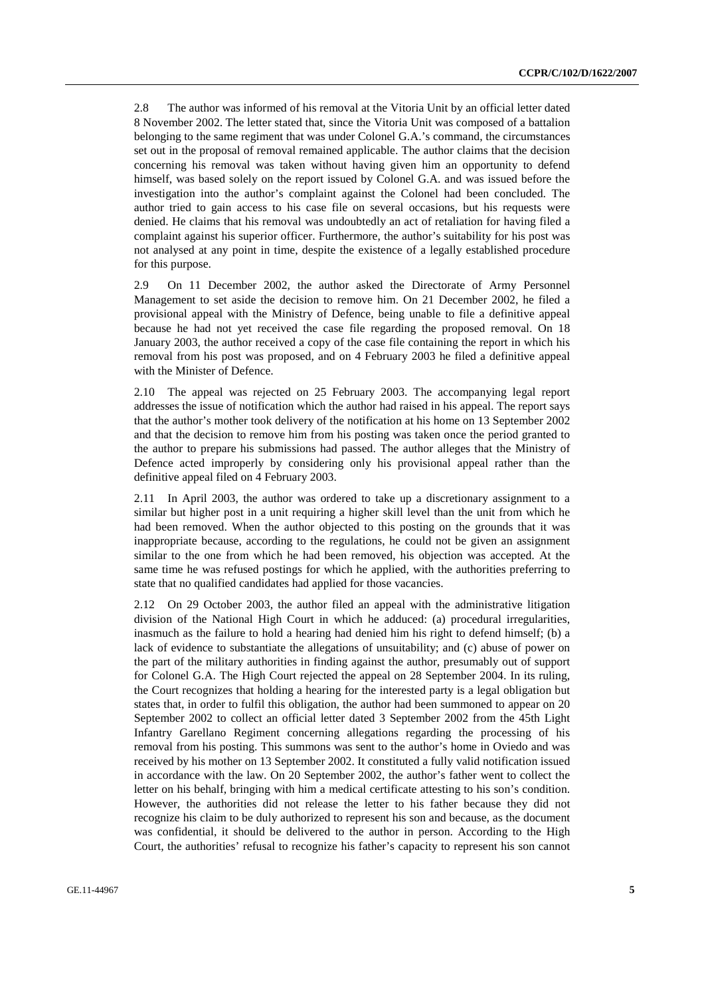2.8 The author was informed of his removal at the Vitoria Unit by an official letter dated 8 November 2002. The letter stated that, since the Vitoria Unit was composed of a battalion belonging to the same regiment that was under Colonel G.A.'s command, the circumstances set out in the proposal of removal remained applicable. The author claims that the decision concerning his removal was taken without having given him an opportunity to defend himself, was based solely on the report issued by Colonel G.A. and was issued before the investigation into the author's complaint against the Colonel had been concluded. The author tried to gain access to his case file on several occasions, but his requests were denied. He claims that his removal was undoubtedly an act of retaliation for having filed a complaint against his superior officer. Furthermore, the author's suitability for his post was not analysed at any point in time, despite the existence of a legally established procedure for this purpose.

2.9 On 11 December 2002, the author asked the Directorate of Army Personnel Management to set aside the decision to remove him. On 21 December 2002, he filed a provisional appeal with the Ministry of Defence, being unable to file a definitive appeal because he had not yet received the case file regarding the proposed removal. On 18 January 2003, the author received a copy of the case file containing the report in which his removal from his post was proposed, and on 4 February 2003 he filed a definitive appeal with the Minister of Defence.

2.10 The appeal was rejected on 25 February 2003. The accompanying legal report addresses the issue of notification which the author had raised in his appeal. The report says that the author's mother took delivery of the notification at his home on 13 September 2002 and that the decision to remove him from his posting was taken once the period granted to the author to prepare his submissions had passed. The author alleges that the Ministry of Defence acted improperly by considering only his provisional appeal rather than the definitive appeal filed on 4 February 2003.

2.11 In April 2003, the author was ordered to take up a discretionary assignment to a similar but higher post in a unit requiring a higher skill level than the unit from which he had been removed. When the author objected to this posting on the grounds that it was inappropriate because, according to the regulations, he could not be given an assignment similar to the one from which he had been removed, his objection was accepted. At the same time he was refused postings for which he applied, with the authorities preferring to state that no qualified candidates had applied for those vacancies.

2.12 On 29 October 2003, the author filed an appeal with the administrative litigation division of the National High Court in which he adduced: (a) procedural irregularities, inasmuch as the failure to hold a hearing had denied him his right to defend himself; (b) a lack of evidence to substantiate the allegations of unsuitability; and (c) abuse of power on the part of the military authorities in finding against the author, presumably out of support for Colonel G.A. The High Court rejected the appeal on 28 September 2004. In its ruling, the Court recognizes that holding a hearing for the interested party is a legal obligation but states that, in order to fulfil this obligation, the author had been summoned to appear on 20 September 2002 to collect an official letter dated 3 September 2002 from the 45th Light Infantry Garellano Regiment concerning allegations regarding the processing of his removal from his posting. This summons was sent to the author's home in Oviedo and was received by his mother on 13 September 2002. It constituted a fully valid notification issued in accordance with the law. On 20 September 2002, the author's father went to collect the letter on his behalf, bringing with him a medical certificate attesting to his son's condition. However, the authorities did not release the letter to his father because they did not recognize his claim to be duly authorized to represent his son and because, as the document was confidential, it should be delivered to the author in person. According to the High Court, the authorities' refusal to recognize his father's capacity to represent his son cannot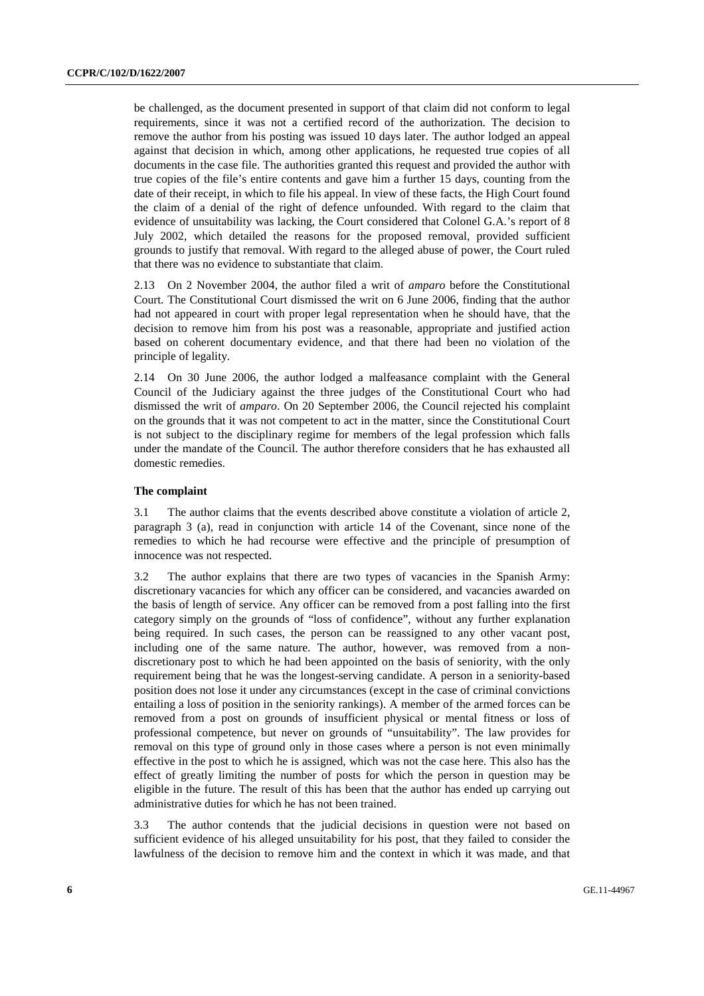be challenged, as the document presented in support of that claim did not conform to legal requirements, since it was not a certified record of the authorization. The decision to remove the author from his posting was issued 10 days later. The author lodged an appeal against that decision in which, among other applications, he requested true copies of all documents in the case file. The authorities granted this request and provided the author with true copies of the file's entire contents and gave him a further 15 days, counting from the date of their receipt, in which to file his appeal. In view of these facts, the High Court found the claim of a denial of the right of defence unfounded. With regard to the claim that evidence of unsuitability was lacking, the Court considered that Colonel G.A.'s report of 8 July 2002, which detailed the reasons for the proposed removal, provided sufficient grounds to justify that removal. With regard to the alleged abuse of power, the Court ruled that there was no evidence to substantiate that claim.

2.13 On 2 November 2004, the author filed a writ of *amparo* before the Constitutional Court. The Constitutional Court dismissed the writ on 6 June 2006, finding that the author had not appeared in court with proper legal representation when he should have, that the decision to remove him from his post was a reasonable, appropriate and justified action based on coherent documentary evidence, and that there had been no violation of the principle of legality.

2.14 On 30 June 2006, the author lodged a malfeasance complaint with the General Council of the Judiciary against the three judges of the Constitutional Court who had dismissed the writ of *amparo*. On 20 September 2006, the Council rejected his complaint on the grounds that it was not competent to act in the matter, since the Constitutional Court is not subject to the disciplinary regime for members of the legal profession which falls under the mandate of the Council. The author therefore considers that he has exhausted all domestic remedies.

## **The complaint**

3.1 The author claims that the events described above constitute a violation of article 2, paragraph 3 (a), read in conjunction with article 14 of the Covenant, since none of the remedies to which he had recourse were effective and the principle of presumption of innocence was not respected.

3.2 The author explains that there are two types of vacancies in the Spanish Army: discretionary vacancies for which any officer can be considered, and vacancies awarded on the basis of length of service. Any officer can be removed from a post falling into the first category simply on the grounds of "loss of confidence", without any further explanation being required. In such cases, the person can be reassigned to any other vacant post, including one of the same nature. The author, however, was removed from a nondiscretionary post to which he had been appointed on the basis of seniority, with the only requirement being that he was the longest-serving candidate. A person in a seniority-based position does not lose it under any circumstances (except in the case of criminal convictions entailing a loss of position in the seniority rankings). A member of the armed forces can be removed from a post on grounds of insufficient physical or mental fitness or loss of professional competence, but never on grounds of "unsuitability". The law provides for removal on this type of ground only in those cases where a person is not even minimally effective in the post to which he is assigned, which was not the case here. This also has the effect of greatly limiting the number of posts for which the person in question may be eligible in the future. The result of this has been that the author has ended up carrying out administrative duties for which he has not been trained.

3.3 The author contends that the judicial decisions in question were not based on sufficient evidence of his alleged unsuitability for his post, that they failed to consider the lawfulness of the decision to remove him and the context in which it was made, and that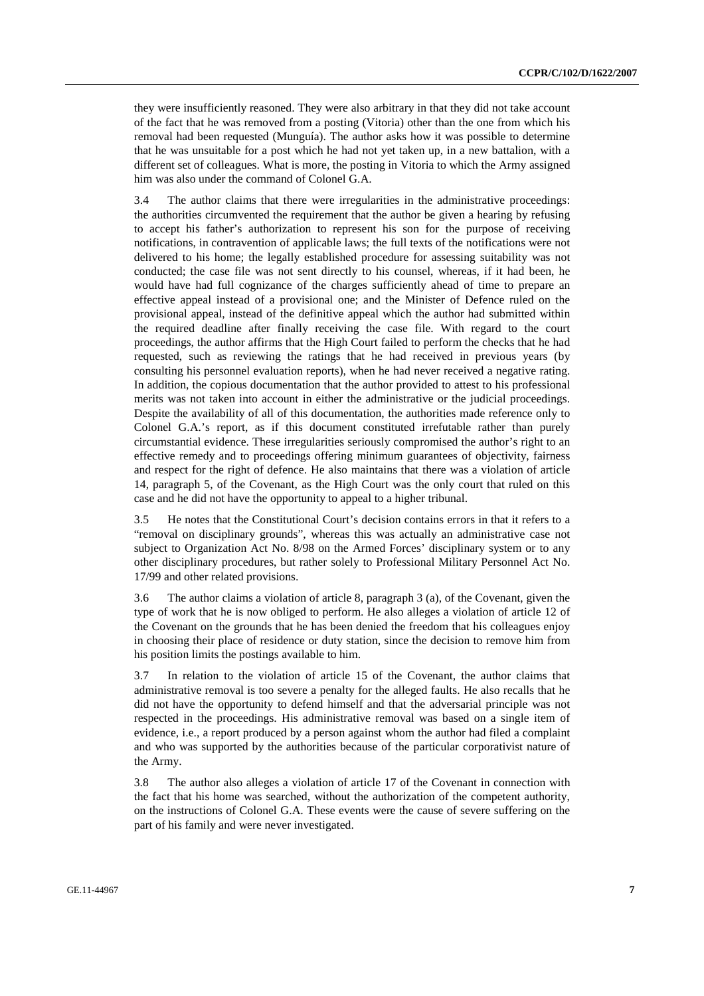they were insufficiently reasoned. They were also arbitrary in that they did not take account of the fact that he was removed from a posting (Vitoria) other than the one from which his removal had been requested (Munguía). The author asks how it was possible to determine that he was unsuitable for a post which he had not yet taken up, in a new battalion, with a different set of colleagues. What is more, the posting in Vitoria to which the Army assigned him was also under the command of Colonel G.A.

3.4 The author claims that there were irregularities in the administrative proceedings: the authorities circumvented the requirement that the author be given a hearing by refusing to accept his father's authorization to represent his son for the purpose of receiving notifications, in contravention of applicable laws; the full texts of the notifications were not delivered to his home; the legally established procedure for assessing suitability was not conducted; the case file was not sent directly to his counsel, whereas, if it had been, he would have had full cognizance of the charges sufficiently ahead of time to prepare an effective appeal instead of a provisional one; and the Minister of Defence ruled on the provisional appeal, instead of the definitive appeal which the author had submitted within the required deadline after finally receiving the case file. With regard to the court proceedings, the author affirms that the High Court failed to perform the checks that he had requested, such as reviewing the ratings that he had received in previous years (by consulting his personnel evaluation reports), when he had never received a negative rating. In addition, the copious documentation that the author provided to attest to his professional merits was not taken into account in either the administrative or the judicial proceedings. Despite the availability of all of this documentation, the authorities made reference only to Colonel G.A.'s report, as if this document constituted irrefutable rather than purely circumstantial evidence. These irregularities seriously compromised the author's right to an effective remedy and to proceedings offering minimum guarantees of objectivity, fairness and respect for the right of defence. He also maintains that there was a violation of article 14, paragraph 5, of the Covenant, as the High Court was the only court that ruled on this case and he did not have the opportunity to appeal to a higher tribunal.

3.5 He notes that the Constitutional Court's decision contains errors in that it refers to a "removal on disciplinary grounds", whereas this was actually an administrative case not subject to Organization Act No. 8/98 on the Armed Forces' disciplinary system or to any other disciplinary procedures, but rather solely to Professional Military Personnel Act No. 17/99 and other related provisions.

3.6 The author claims a violation of article 8, paragraph 3 (a), of the Covenant, given the type of work that he is now obliged to perform. He also alleges a violation of article 12 of the Covenant on the grounds that he has been denied the freedom that his colleagues enjoy in choosing their place of residence or duty station, since the decision to remove him from his position limits the postings available to him.

3.7 In relation to the violation of article 15 of the Covenant, the author claims that administrative removal is too severe a penalty for the alleged faults. He also recalls that he did not have the opportunity to defend himself and that the adversarial principle was not respected in the proceedings. His administrative removal was based on a single item of evidence, i.e., a report produced by a person against whom the author had filed a complaint and who was supported by the authorities because of the particular corporativist nature of the Army.

3.8 The author also alleges a violation of article 17 of the Covenant in connection with the fact that his home was searched, without the authorization of the competent authority, on the instructions of Colonel G.A. These events were the cause of severe suffering on the part of his family and were never investigated.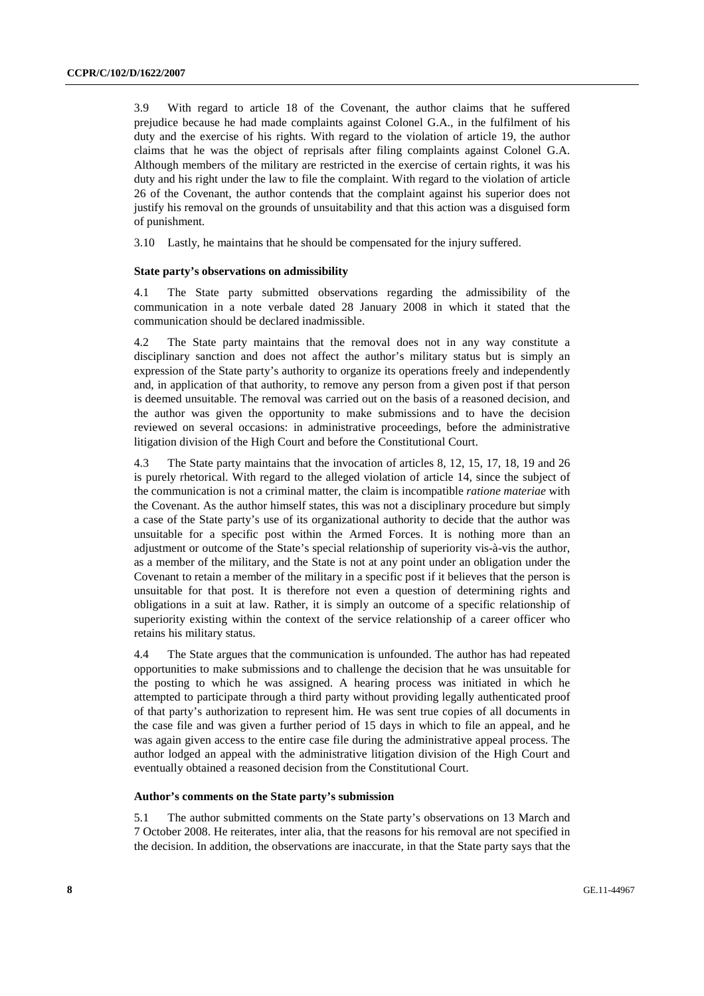3.9 With regard to article 18 of the Covenant, the author claims that he suffered prejudice because he had made complaints against Colonel G.A., in the fulfilment of his duty and the exercise of his rights. With regard to the violation of article 19, the author claims that he was the object of reprisals after filing complaints against Colonel G.A. Although members of the military are restricted in the exercise of certain rights, it was his duty and his right under the law to file the complaint. With regard to the violation of article 26 of the Covenant, the author contends that the complaint against his superior does not justify his removal on the grounds of unsuitability and that this action was a disguised form of punishment.

3.10 Lastly, he maintains that he should be compensated for the injury suffered.

#### **State party's observations on admissibility**

4.1 The State party submitted observations regarding the admissibility of the communication in a note verbale dated 28 January 2008 in which it stated that the communication should be declared inadmissible.

4.2 The State party maintains that the removal does not in any way constitute a disciplinary sanction and does not affect the author's military status but is simply an expression of the State party's authority to organize its operations freely and independently and, in application of that authority, to remove any person from a given post if that person is deemed unsuitable. The removal was carried out on the basis of a reasoned decision, and the author was given the opportunity to make submissions and to have the decision reviewed on several occasions: in administrative proceedings, before the administrative litigation division of the High Court and before the Constitutional Court.

4.3 The State party maintains that the invocation of articles 8, 12, 15, 17, 18, 19 and 26 is purely rhetorical. With regard to the alleged violation of article 14, since the subject of the communication is not a criminal matter, the claim is incompatible *ratione materiae* with the Covenant. As the author himself states, this was not a disciplinary procedure but simply a case of the State party's use of its organizational authority to decide that the author was unsuitable for a specific post within the Armed Forces. It is nothing more than an adjustment or outcome of the State's special relationship of superiority vis-à-vis the author, as a member of the military, and the State is not at any point under an obligation under the Covenant to retain a member of the military in a specific post if it believes that the person is unsuitable for that post. It is therefore not even a question of determining rights and obligations in a suit at law. Rather, it is simply an outcome of a specific relationship of superiority existing within the context of the service relationship of a career officer who retains his military status.

4.4 The State argues that the communication is unfounded. The author has had repeated opportunities to make submissions and to challenge the decision that he was unsuitable for the posting to which he was assigned. A hearing process was initiated in which he attempted to participate through a third party without providing legally authenticated proof of that party's authorization to represent him. He was sent true copies of all documents in the case file and was given a further period of 15 days in which to file an appeal, and he was again given access to the entire case file during the administrative appeal process. The author lodged an appeal with the administrative litigation division of the High Court and eventually obtained a reasoned decision from the Constitutional Court.

### **Author's comments on the State party's submission**

5.1 The author submitted comments on the State party's observations on 13 March and 7 October 2008. He reiterates, inter alia, that the reasons for his removal are not specified in the decision. In addition, the observations are inaccurate, in that the State party says that the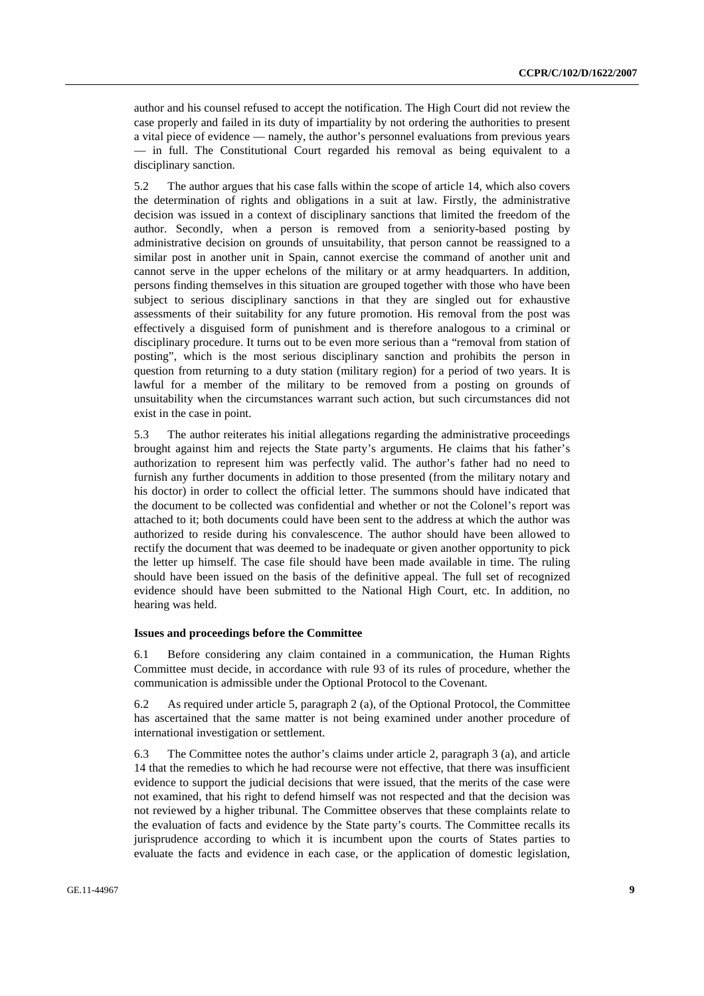author and his counsel refused to accept the notification. The High Court did not review the case properly and failed in its duty of impartiality by not ordering the authorities to present a vital piece of evidence — namely, the author's personnel evaluations from previous years — in full. The Constitutional Court regarded his removal as being equivalent to a disciplinary sanction.

5.2 The author argues that his case falls within the scope of article 14, which also covers the determination of rights and obligations in a suit at law. Firstly, the administrative decision was issued in a context of disciplinary sanctions that limited the freedom of the author. Secondly, when a person is removed from a seniority-based posting by administrative decision on grounds of unsuitability, that person cannot be reassigned to a similar post in another unit in Spain, cannot exercise the command of another unit and cannot serve in the upper echelons of the military or at army headquarters. In addition, persons finding themselves in this situation are grouped together with those who have been subject to serious disciplinary sanctions in that they are singled out for exhaustive assessments of their suitability for any future promotion. His removal from the post was effectively a disguised form of punishment and is therefore analogous to a criminal or disciplinary procedure. It turns out to be even more serious than a "removal from station of posting", which is the most serious disciplinary sanction and prohibits the person in question from returning to a duty station (military region) for a period of two years. It is lawful for a member of the military to be removed from a posting on grounds of unsuitability when the circumstances warrant such action, but such circumstances did not exist in the case in point.

5.3 The author reiterates his initial allegations regarding the administrative proceedings brought against him and rejects the State party's arguments. He claims that his father's authorization to represent him was perfectly valid. The author's father had no need to furnish any further documents in addition to those presented (from the military notary and his doctor) in order to collect the official letter. The summons should have indicated that the document to be collected was confidential and whether or not the Colonel's report was attached to it; both documents could have been sent to the address at which the author was authorized to reside during his convalescence. The author should have been allowed to rectify the document that was deemed to be inadequate or given another opportunity to pick the letter up himself. The case file should have been made available in time. The ruling should have been issued on the basis of the definitive appeal. The full set of recognized evidence should have been submitted to the National High Court, etc. In addition, no hearing was held.

#### **Issues and proceedings before the Committee**

6.1 Before considering any claim contained in a communication, the Human Rights Committee must decide, in accordance with rule 93 of its rules of procedure, whether the communication is admissible under the Optional Protocol to the Covenant.

6.2 As required under article 5, paragraph 2 (a), of the Optional Protocol, the Committee has ascertained that the same matter is not being examined under another procedure of international investigation or settlement.

6.3 The Committee notes the author's claims under article 2, paragraph 3 (a), and article 14 that the remedies to which he had recourse were not effective, that there was insufficient evidence to support the judicial decisions that were issued, that the merits of the case were not examined, that his right to defend himself was not respected and that the decision was not reviewed by a higher tribunal. The Committee observes that these complaints relate to the evaluation of facts and evidence by the State party's courts. The Committee recalls its jurisprudence according to which it is incumbent upon the courts of States parties to evaluate the facts and evidence in each case, or the application of domestic legislation,